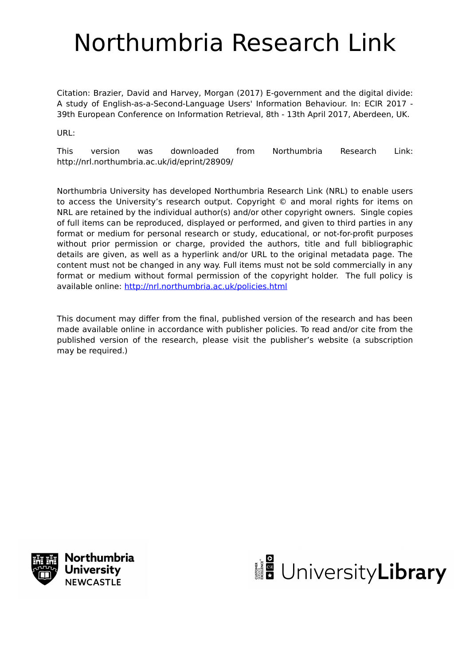# Northumbria Research Link

Citation: Brazier, David and Harvey, Morgan (2017) E-government and the digital divide: A study of English-as-a-Second-Language Users' Information Behaviour. In: ECIR 2017 - 39th European Conference on Information Retrieval, 8th - 13th April 2017, Aberdeen, UK.

URL:

This version was downloaded from Northumbria Research Link: http://nrl.northumbria.ac.uk/id/eprint/28909/

Northumbria University has developed Northumbria Research Link (NRL) to enable users to access the University's research output. Copyright © and moral rights for items on NRL are retained by the individual author(s) and/or other copyright owners. Single copies of full items can be reproduced, displayed or performed, and given to third parties in any format or medium for personal research or study, educational, or not-for-profit purposes without prior permission or charge, provided the authors, title and full bibliographic details are given, as well as a hyperlink and/or URL to the original metadata page. The content must not be changed in any way. Full items must not be sold commercially in any format or medium without formal permission of the copyright holder. The full policy is available online:<http://nrl.northumbria.ac.uk/policies.html>

This document may differ from the final, published version of the research and has been made available online in accordance with publisher policies. To read and/or cite from the published version of the research, please visit the publisher's website (a subscription may be required.)



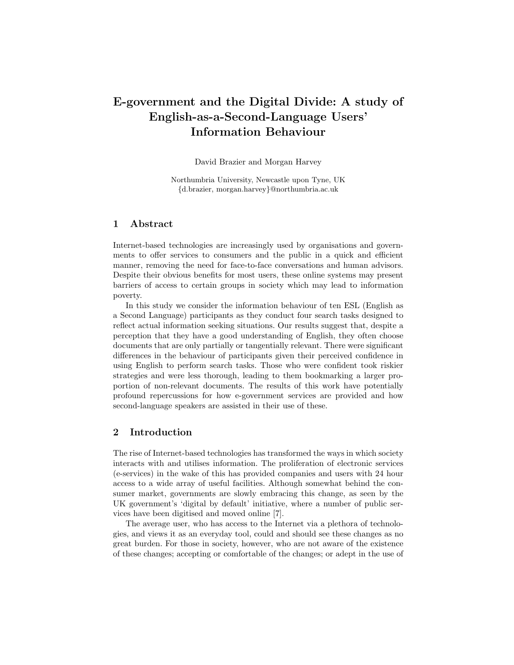## E-government and the Digital Divide: A study of English-as-a-Second-Language Users' Information Behaviour

David Brazier and Morgan Harvey

Northumbria University, Newcastle upon Tyne, UK {d.brazier, morgan.harvey}@northumbria.ac.uk

## 1 Abstract

Internet-based technologies are increasingly used by organisations and governments to offer services to consumers and the public in a quick and efficient manner, removing the need for face-to-face conversations and human advisors. Despite their obvious benefits for most users, these online systems may present barriers of access to certain groups in society which may lead to information poverty.

In this study we consider the information behaviour of ten ESL (English as a Second Language) participants as they conduct four search tasks designed to reflect actual information seeking situations. Our results suggest that, despite a perception that they have a good understanding of English, they often choose documents that are only partially or tangentially relevant. There were significant differences in the behaviour of participants given their perceived confidence in using English to perform search tasks. Those who were confident took riskier strategies and were less thorough, leading to them bookmarking a larger proportion of non-relevant documents. The results of this work have potentially profound repercussions for how e-government services are provided and how second-language speakers are assisted in their use of these.

## 2 Introduction

The rise of Internet-based technologies has transformed the ways in which society interacts with and utilises information. The proliferation of electronic services (e-services) in the wake of this has provided companies and users with 24 hour access to a wide array of useful facilities. Although somewhat behind the consumer market, governments are slowly embracing this change, as seen by the UK government's 'digital by default' initiative, where a number of public services have been digitised and moved online [7].

The average user, who has access to the Internet via a plethora of technologies, and views it as an everyday tool, could and should see these changes as no great burden. For those in society, however, who are not aware of the existence of these changes; accepting or comfortable of the changes; or adept in the use of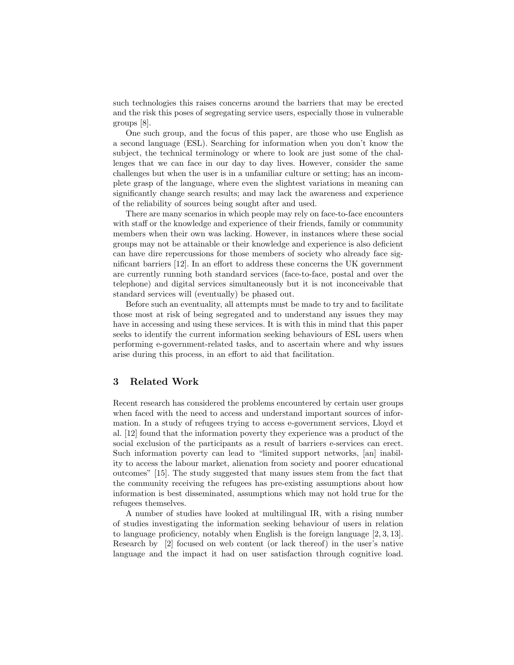such technologies this raises concerns around the barriers that may be erected and the risk this poses of segregating service users, especially those in vulnerable groups [8].

One such group, and the focus of this paper, are those who use English as a second language (ESL). Searching for information when you don't know the subject, the technical terminology or where to look are just some of the challenges that we can face in our day to day lives. However, consider the same challenges but when the user is in a unfamiliar culture or setting; has an incomplete grasp of the language, where even the slightest variations in meaning can significantly change search results; and may lack the awareness and experience of the reliability of sources being sought after and used.

There are many scenarios in which people may rely on face-to-face encounters with staff or the knowledge and experience of their friends, family or community members when their own was lacking. However, in instances where these social groups may not be attainable or their knowledge and experience is also deficient can have dire repercussions for those members of society who already face significant barriers [12]. In an effort to address these concerns the UK government are currently running both standard services (face-to-face, postal and over the telephone) and digital services simultaneously but it is not inconceivable that standard services will (eventually) be phased out.

Before such an eventuality, all attempts must be made to try and to facilitate those most at risk of being segregated and to understand any issues they may have in accessing and using these services. It is with this in mind that this paper seeks to identify the current information seeking behaviours of ESL users when performing e-government-related tasks, and to ascertain where and why issues arise during this process, in an effort to aid that facilitation.

## 3 Related Work

Recent research has considered the problems encountered by certain user groups when faced with the need to access and understand important sources of information. In a study of refugees trying to access e-government services, Lloyd et al. [12] found that the information poverty they experience was a product of the social exclusion of the participants as a result of barriers e-services can erect. Such information poverty can lead to "limited support networks, [an] inability to access the labour market, alienation from society and poorer educational outcomes" [15]. The study suggested that many issues stem from the fact that the community receiving the refugees has pre-existing assumptions about how information is best disseminated, assumptions which may not hold true for the refugees themselves.

A number of studies have looked at multilingual IR, with a rising number of studies investigating the information seeking behaviour of users in relation to language proficiency, notably when English is the foreign language [2, 3, 13]. Research by [2] focused on web content (or lack thereof) in the user's native language and the impact it had on user satisfaction through cognitive load.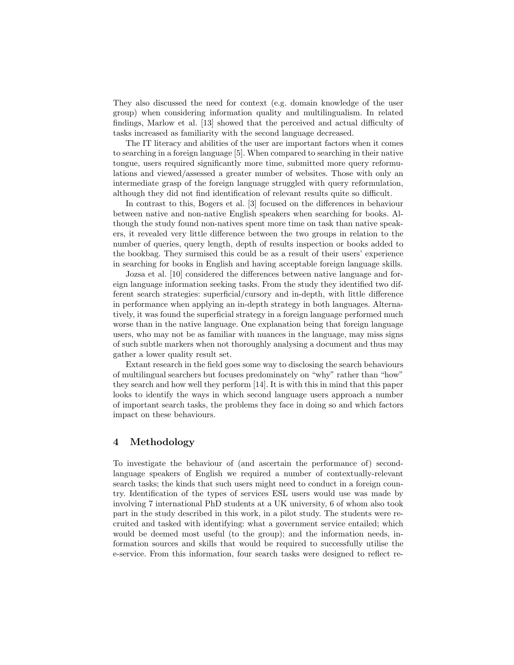They also discussed the need for context (e.g. domain knowledge of the user group) when considering information quality and multilingualism. In related findings, Marlow et al. [13] showed that the perceived and actual difficulty of tasks increased as familiarity with the second language decreased.

The IT literacy and abilities of the user are important factors when it comes to searching in a foreign language [5]. When compared to searching in their native tongue, users required significantly more time, submitted more query reformulations and viewed/assessed a greater number of websites. Those with only an intermediate grasp of the foreign language struggled with query reformulation, although they did not find identification of relevant results quite so difficult.

In contrast to this, Bogers et al. [3] focused on the differences in behaviour between native and non-native English speakers when searching for books. Although the study found non-natives spent more time on task than native speakers, it revealed very little difference between the two groups in relation to the number of queries, query length, depth of results inspection or books added to the bookbag. They surmised this could be as a result of their users' experience in searching for books in English and having acceptable foreign language skills.

Jozsa et al. [10] considered the differences between native language and foreign language information seeking tasks. From the study they identified two different search strategies: superficial/cursory and in-depth, with little difference in performance when applying an in-depth strategy in both languages. Alternatively, it was found the superficial strategy in a foreign language performed much worse than in the native language. One explanation being that foreign language users, who may not be as familiar with nuances in the language, may miss signs of such subtle markers when not thoroughly analysing a document and thus may gather a lower quality result set.

Extant research in the field goes some way to disclosing the search behaviours of multilingual searchers but focuses predominately on "why" rather than "how" they search and how well they perform [14]. It is with this in mind that this paper looks to identify the ways in which second language users approach a number of important search tasks, the problems they face in doing so and which factors impact on these behaviours.

## 4 Methodology

To investigate the behaviour of (and ascertain the performance of) secondlanguage speakers of English we required a number of contextually-relevant search tasks; the kinds that such users might need to conduct in a foreign country. Identification of the types of services ESL users would use was made by involving 7 international PhD students at a UK university, 6 of whom also took part in the study described in this work, in a pilot study. The students were recruited and tasked with identifying: what a government service entailed; which would be deemed most useful (to the group); and the information needs, information sources and skills that would be required to successfully utilise the e-service. From this information, four search tasks were designed to reflect re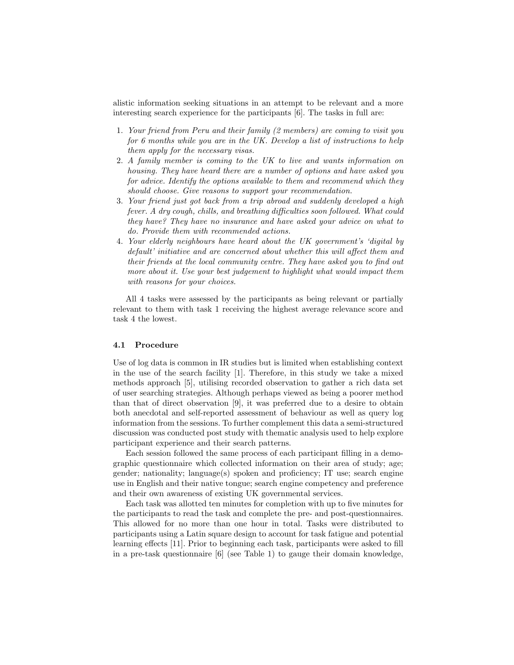alistic information seeking situations in an attempt to be relevant and a more interesting search experience for the participants [6]. The tasks in full are:

- 1. Your friend from Peru and their family (2 members) are coming to visit you for 6 months while you are in the UK. Develop a list of instructions to help them apply for the necessary visas.
- 2. A family member is coming to the UK to live and wants information on housing. They have heard there are a number of options and have asked you for advice. Identify the options available to them and recommend which they should choose. Give reasons to support your recommendation.
- 3. Your friend just got back from a trip abroad and suddenly developed a high fever. A dry cough, chills, and breathing difficulties soon followed. What could they have? They have no insurance and have asked your advice on what to do. Provide them with recommended actions.
- 4. Your elderly neighbours have heard about the UK government's 'digital by default' initiative and are concerned about whether this will affect them and their friends at the local community centre. They have asked you to find out more about it. Use your best judgement to highlight what would impact them with reasons for your choices.

All 4 tasks were assessed by the participants as being relevant or partially relevant to them with task 1 receiving the highest average relevance score and task 4 the lowest.

#### 4.1 Procedure

Use of log data is common in IR studies but is limited when establishing context in the use of the search facility [1]. Therefore, in this study we take a mixed methods approach [5], utilising recorded observation to gather a rich data set of user searching strategies. Although perhaps viewed as being a poorer method than that of direct observation [9], it was preferred due to a desire to obtain both anecdotal and self-reported assessment of behaviour as well as query log information from the sessions. To further complement this data a semi-structured discussion was conducted post study with thematic analysis used to help explore participant experience and their search patterns.

Each session followed the same process of each participant filling in a demographic questionnaire which collected information on their area of study; age; gender; nationality; language $(s)$  spoken and proficiency; IT use; search engine use in English and their native tongue; search engine competency and preference and their own awareness of existing UK governmental services.

Each task was allotted ten minutes for completion with up to five minutes for the participants to read the task and complete the pre- and post-questionnaires. This allowed for no more than one hour in total. Tasks were distributed to participants using a Latin square design to account for task fatigue and potential learning effects [11]. Prior to beginning each task, participants were asked to fill in a pre-task questionnaire [6] (see Table 1) to gauge their domain knowledge,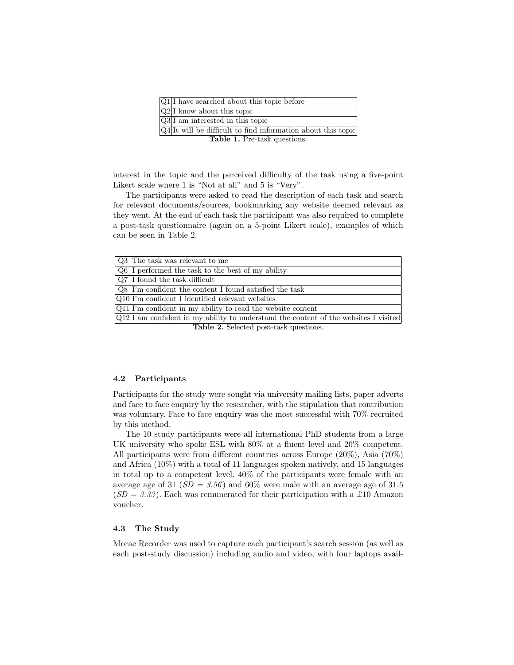| $ Q1 I$ have searched about this topic before                    |  |  |
|------------------------------------------------------------------|--|--|
| $\sqrt{Q^2}$ know about this topic                               |  |  |
| $Q3$ <sup>I</sup> am interested in this topic                    |  |  |
| $ Q4 $ It will be difficult to find information about this topic |  |  |

Table 1. Pre-task questions.

interest in the topic and the perceived difficulty of the task using a five-point Likert scale where 1 is "Not at all" and 5 is "Very".

The participants were asked to read the description of each task and search for relevant documents/sources, bookmarking any website deemed relevant as they went. At the end of each task the participant was also required to complete a post-task questionnaire (again on a 5-point Likert scale), examples of which can be seen in Table 2.

|                                               | Q3 The task was relevant to me                                                                                                                                                    |  |  |  |
|-----------------------------------------------|-----------------------------------------------------------------------------------------------------------------------------------------------------------------------------------|--|--|--|
|                                               | $Q6$ I performed the task to the best of my ability                                                                                                                               |  |  |  |
|                                               | $Q7$ I found the task difficult                                                                                                                                                   |  |  |  |
|                                               | $Q8$ I'm confident the content I found satisfied the task                                                                                                                         |  |  |  |
|                                               | $ Q10 $ I'm confident I identified relevant websites                                                                                                                              |  |  |  |
|                                               | $[Q11]$ I'm confident in my ability to read the website content<br>$\lbrack \mathcal{Q}12 \rbrack$ am confident in my ability to understand the content of the websites I visited |  |  |  |
|                                               |                                                                                                                                                                                   |  |  |  |
| <b>Table 2.</b> Selected post-task questions. |                                                                                                                                                                                   |  |  |  |

## 4.2 Participants

Participants for the study were sought via university mailing lists, paper adverts and face to face enquiry by the researcher, with the stipulation that contribution was voluntary. Face to face enquiry was the most successful with 70% recruited by this method.

The 10 study participants were all international PhD students from a large UK university who spoke ESL with 80% at a fluent level and 20% competent. All participants were from different countries across Europe (20%), Asia (70%) and Africa (10%) with a total of 11 languages spoken natively, and 15 languages in total up to a competent level. 40% of the participants were female with an average age of 31 ( $SD = 3.56$ ) and 60% were male with an average age of 31.5  $(SD = 3.33)$ . Each was remunerated for their participation with a £10 Amazon voucher.

#### 4.3 The Study

Morae Recorder was used to capture each participant's search session (as well as each post-study discussion) including audio and video, with four laptops avail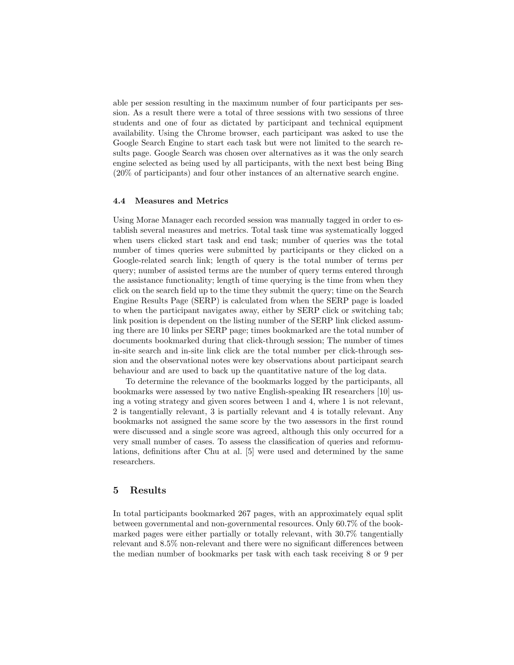able per session resulting in the maximum number of four participants per session. As a result there were a total of three sessions with two sessions of three students and one of four as dictated by participant and technical equipment availability. Using the Chrome browser, each participant was asked to use the Google Search Engine to start each task but were not limited to the search results page. Google Search was chosen over alternatives as it was the only search engine selected as being used by all participants, with the next best being Bing (20% of participants) and four other instances of an alternative search engine.

#### 4.4 Measures and Metrics

Using Morae Manager each recorded session was manually tagged in order to establish several measures and metrics. Total task time was systematically logged when users clicked start task and end task; number of queries was the total number of times queries were submitted by participants or they clicked on a Google-related search link; length of query is the total number of terms per query; number of assisted terms are the number of query terms entered through the assistance functionality; length of time querying is the time from when they click on the search field up to the time they submit the query; time on the Search Engine Results Page (SERP) is calculated from when the SERP page is loaded to when the participant navigates away, either by SERP click or switching tab; link position is dependent on the listing number of the SERP link clicked assuming there are 10 links per SERP page; times bookmarked are the total number of documents bookmarked during that click-through session; The number of times in-site search and in-site link click are the total number per click-through session and the observational notes were key observations about participant search behaviour and are used to back up the quantitative nature of the log data.

To determine the relevance of the bookmarks logged by the participants, all bookmarks were assessed by two native English-speaking IR researchers [10] using a voting strategy and given scores between 1 and 4, where 1 is not relevant, 2 is tangentially relevant, 3 is partially relevant and 4 is totally relevant. Any bookmarks not assigned the same score by the two assessors in the first round were discussed and a single score was agreed, although this only occurred for a very small number of cases. To assess the classification of queries and reformulations, definitions after Chu at al. [5] were used and determined by the same researchers.

## 5 Results

In total participants bookmarked 267 pages, with an approximately equal split between governmental and non-governmental resources. Only 60.7% of the bookmarked pages were either partially or totally relevant, with 30.7% tangentially relevant and 8.5% non-relevant and there were no significant differences between the median number of bookmarks per task with each task receiving 8 or 9 per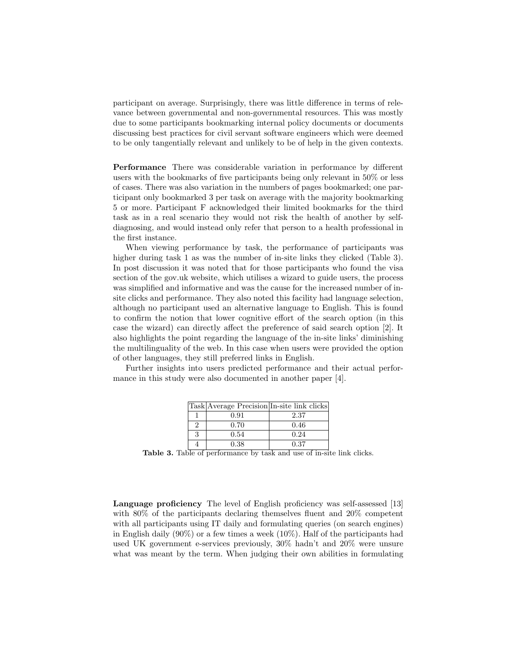participant on average. Surprisingly, there was little difference in terms of relevance between governmental and non-governmental resources. This was mostly due to some participants bookmarking internal policy documents or documents discussing best practices for civil servant software engineers which were deemed to be only tangentially relevant and unlikely to be of help in the given contexts.

Performance There was considerable variation in performance by different users with the bookmarks of five participants being only relevant in 50% or less of cases. There was also variation in the numbers of pages bookmarked; one participant only bookmarked 3 per task on average with the majority bookmarking 5 or more. Participant F acknowledged their limited bookmarks for the third task as in a real scenario they would not risk the health of another by selfdiagnosing, and would instead only refer that person to a health professional in the first instance.

When viewing performance by task, the performance of participants was higher during task 1 as was the number of in-site links they clicked (Table 3). In post discussion it was noted that for those participants who found the visa section of the gov.uk website, which utilises a wizard to guide users, the process was simplified and informative and was the cause for the increased number of insite clicks and performance. They also noted this facility had language selection, although no participant used an alternative language to English. This is found to confirm the notion that lower cognitive effort of the search option (in this case the wizard) can directly affect the preference of said search option [2]. It also highlights the point regarding the language of the in-site links' diminishing the multilinguality of the web. In this case when users were provided the option of other languages, they still preferred links in English.

Further insights into users predicted performance and their actual performance in this study were also documented in another paper [4].

|                | Task Average Precision In-site link clicks |      |
|----------------|--------------------------------------------|------|
|                | 0.91                                       | 2.37 |
| $\overline{2}$ | 0.70                                       | 0.46 |
| 3              | 0.54                                       | 0.24 |
|                | 0.38                                       | 0.37 |

Table 3. Table of performance by task and use of in-site link clicks.

Language proficiency The level of English proficiency was self-assessed [13] with 80% of the participants declaring themselves fluent and 20% competent with all participants using IT daily and formulating queries (on search engines) in English daily (90%) or a few times a week (10%). Half of the participants had used UK government e-services previously, 30% hadn't and 20% were unsure what was meant by the term. When judging their own abilities in formulating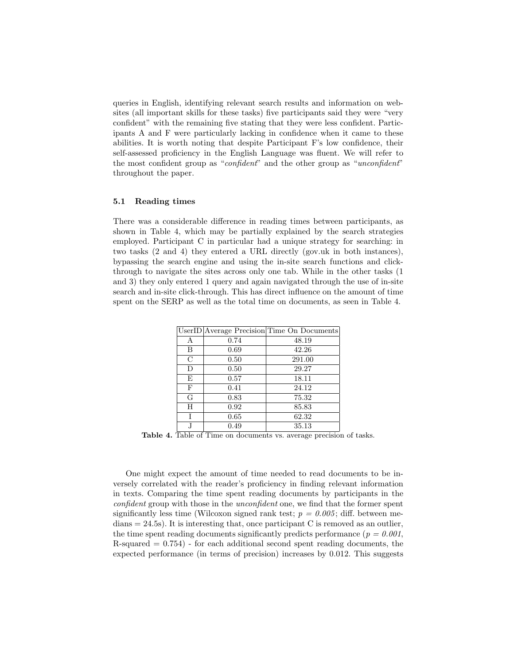queries in English, identifying relevant search results and information on websites (all important skills for these tasks) five participants said they were "very confident" with the remaining five stating that they were less confident. Participants A and F were particularly lacking in confidence when it came to these abilities. It is worth noting that despite Participant F's low confidence, their self-assessed proficiency in the English Language was fluent. We will refer to the most confident group as "confident" and the other group as "unconfident" throughout the paper.

#### 5.1 Reading times

There was a considerable difference in reading times between participants, as shown in Table 4, which may be partially explained by the search strategies employed. Participant C in particular had a unique strategy for searching: in two tasks (2 and 4) they entered a URL directly (gov.uk in both instances), bypassing the search engine and using the in-site search functions and clickthrough to navigate the sites across only one tab. While in the other tasks (1 and 3) they only entered 1 query and again navigated through the use of in-site search and in-site click-through. This has direct influence on the amount of time spent on the SERP as well as the total time on documents, as seen in Table 4.

|               |      | UserID Average Precision Time On Documents |
|---------------|------|--------------------------------------------|
| А             | 0.74 | 48.19                                      |
| В             | 0.69 | 42.26                                      |
| $\mathcal{C}$ | 0.50 | 291.00                                     |
| D             | 0.50 | 29.27                                      |
| E             | 0.57 | 18.11                                      |
| F             | 0.41 | 24.12                                      |
| G             | 0.83 | 75.32                                      |
| H             | 0.92 | 85.83                                      |
|               | 0.65 | 62.32                                      |
| J.            | 0.49 | 35.13                                      |

Table 4. Table of Time on documents vs. average precision of tasks.

One might expect the amount of time needed to read documents to be inversely correlated with the reader's proficiency in finding relevant information in texts. Comparing the time spent reading documents by participants in the confident group with those in the unconfident one, we find that the former spent significantly less time (Wilcoxon signed rank test;  $p = 0.005$ ; diff. between me $diam = 24.5$ s). It is interesting that, once participant C is removed as an outlier, the time spent reading documents significantly predicts performance ( $p = 0.001$ , R-squared  $= 0.754$ ) - for each additional second spent reading documents, the expected performance (in terms of precision) increases by 0.012. This suggests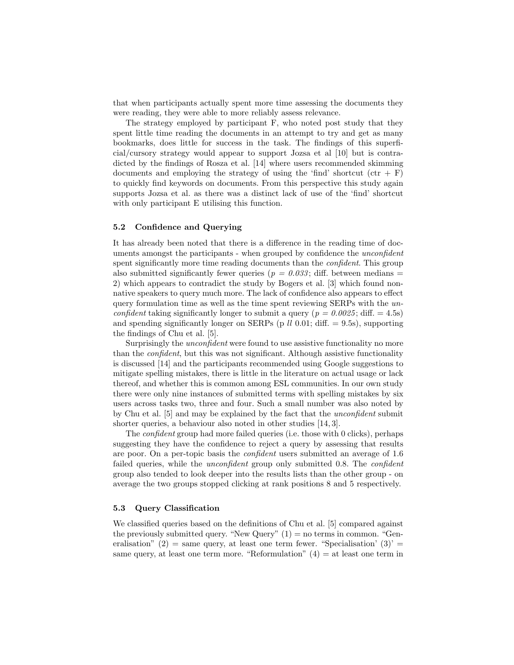that when participants actually spent more time assessing the documents they were reading, they were able to more reliably assess relevance.

The strategy employed by participant F, who noted post study that they spent little time reading the documents in an attempt to try and get as many bookmarks, does little for success in the task. The findings of this superficial/cursory strategy would appear to support Jozsa et al [10] but is contradicted by the findings of Rosza et al. [14] where users recommended skimming documents and employing the strategy of using the 'find' shortcut (ctr  $+$  F) to quickly find keywords on documents. From this perspective this study again supports Jozsa et al. as there was a distinct lack of use of the 'find' shortcut with only participant E utilising this function.

#### 5.2 Confidence and Querying

It has already been noted that there is a difference in the reading time of documents amongst the participants - when grouped by confidence the *unconfident* spent significantly more time reading documents than the *confident*. This group also submitted significantly fewer queries ( $p = 0.033$ ; diff. between medians = 2) which appears to contradict the study by Bogers et al. [3] which found nonnative speakers to query much more. The lack of confidence also appears to effect query formulation time as well as the time spent reviewing SERPs with the unconfident taking significantly longer to submit a query ( $p = 0.0025$ ; diff. = 4.5s) and spending significantly longer on SERPs (p  $ll$  0.01; diff. = 9.5s), supporting the findings of Chu et al. [5].

Surprisingly the unconfident were found to use assistive functionality no more than the confident, but this was not significant. Although assistive functionality is discussed [14] and the participants recommended using Google suggestions to mitigate spelling mistakes, there is little in the literature on actual usage or lack thereof, and whether this is common among ESL communities. In our own study there were only nine instances of submitted terms with spelling mistakes by six users across tasks two, three and four. Such a small number was also noted by by Chu et al. [5] and may be explained by the fact that the unconfident submit shorter queries, a behaviour also noted in other studies [14, 3].

The *confident* group had more failed queries (i.e. those with 0 clicks), perhaps suggesting they have the confidence to reject a query by assessing that results are poor. On a per-topic basis the confident users submitted an average of 1.6 failed queries, while the unconfident group only submitted 0.8. The confident group also tended to look deeper into the results lists than the other group - on average the two groups stopped clicking at rank positions 8 and 5 respectively.

## 5.3 Query Classification

We classified queries based on the definitions of Chu et al. [5] compared against the previously submitted query. "New Query"  $(1)$  = no terms in common. "Generalisation" (2) = same query, at least one term fewer. "Specialisation" (3)' = same query, at least one term more. "Reformulation"  $(4) =$  at least one term in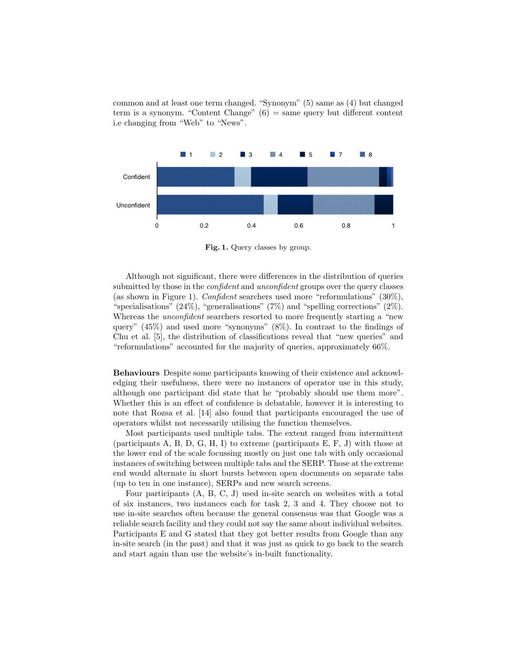common and at least one term changed. "Synonym" (5) same as (4) but changed term is a synonym. "Content Change" (6) = same query but different content i.e changing from "Web" to "News".



Fig. 1. Query classes by group.

Although not significant, there were differences in the distribution of queries submitted by those in the *confident* and *unconfident* groups over the query classes (as shown in Figure 1). Confident searchers used more "reformulations"  $(30\%)$ , "specialisations"  $(24\%)$ , "generalisations"  $(7\%)$  and "spelling corrections"  $(2\%)$ . Whereas the *unconfident* searchers resorted to more frequently starting a "new query"  $(45\%)$  and used more "synonyms"  $(8\%)$ . In contrast to the findings of Chu et al. [5], the distribution of classifications reveal that "new queries" and "reformulations" accounted for the majority of queries, approximately 66%.

Behaviours Despite some participants knowing of their existence and acknowledging their usefulness, there were no instances of operator use in this study, although one participant did state that he "probably should use them more". Whether this is an effect of confidence is debatable, however it is interesting to note that Rozsa et al. [14] also found that participants encouraged the use of operators whilst not necessarily utilising the function themselves.

Most participants used multiple tabs. The extent ranged from intermittent (participants A, B, D, G, H, I) to extreme (participants E, F, J) with those at the lower end of the scale focussing mostly on just one tab with only occasional instances of switching between multiple tabs and the SERP. Those at the extreme end would alternate in short bursts between open documents on separate tabs (up to ten in one instance), SERPs and new search screens.

Four participants (A, B, C, J) used in-site search on websites with a total of six instances, two instances each for task 2, 3 and 4. They choose not to use in-site searches often because the general consensus was that Google was a reliable search facility and they could not say the same about individual websites. Participants E and G stated that they got better results from Google than any in-site search (in the past) and that it was just as quick to go back to the search and start again than use the website's in-built functionality.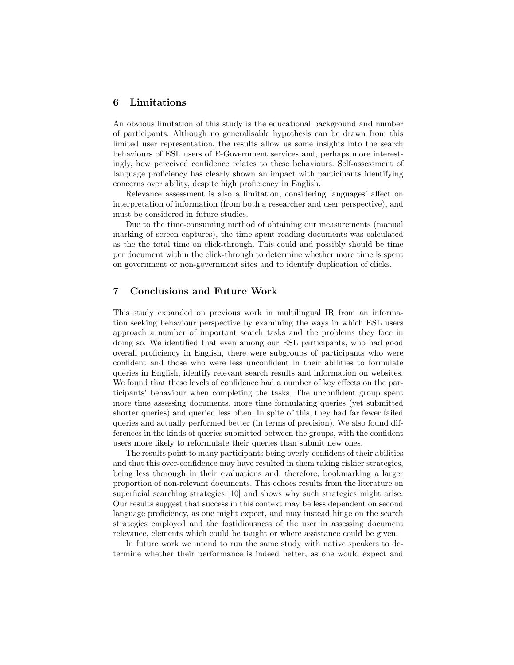## 6 Limitations

An obvious limitation of this study is the educational background and number of participants. Although no generalisable hypothesis can be drawn from this limited user representation, the results allow us some insights into the search behaviours of ESL users of E-Government services and, perhaps more interestingly, how perceived confidence relates to these behaviours. Self-assessment of language proficiency has clearly shown an impact with participants identifying concerns over ability, despite high proficiency in English.

Relevance assessment is also a limitation, considering languages' affect on interpretation of information (from both a researcher and user perspective), and must be considered in future studies.

Due to the time-consuming method of obtaining our measurements (manual marking of screen captures), the time spent reading documents was calculated as the the total time on click-through. This could and possibly should be time per document within the click-through to determine whether more time is spent on government or non-government sites and to identify duplication of clicks.

## 7 Conclusions and Future Work

This study expanded on previous work in multilingual IR from an information seeking behaviour perspective by examining the ways in which ESL users approach a number of important search tasks and the problems they face in doing so. We identified that even among our ESL participants, who had good overall proficiency in English, there were subgroups of participants who were confident and those who were less unconfident in their abilities to formulate queries in English, identify relevant search results and information on websites. We found that these levels of confidence had a number of key effects on the participants' behaviour when completing the tasks. The unconfident group spent more time assessing documents, more time formulating queries (yet submitted shorter queries) and queried less often. In spite of this, they had far fewer failed queries and actually performed better (in terms of precision). We also found differences in the kinds of queries submitted between the groups, with the confident users more likely to reformulate their queries than submit new ones.

The results point to many participants being overly-confident of their abilities and that this over-confidence may have resulted in them taking riskier strategies, being less thorough in their evaluations and, therefore, bookmarking a larger proportion of non-relevant documents. This echoes results from the literature on superficial searching strategies [10] and shows why such strategies might arise. Our results suggest that success in this context may be less dependent on second language proficiency, as one might expect, and may instead hinge on the search strategies employed and the fastidiousness of the user in assessing document relevance, elements which could be taught or where assistance could be given.

In future work we intend to run the same study with native speakers to determine whether their performance is indeed better, as one would expect and